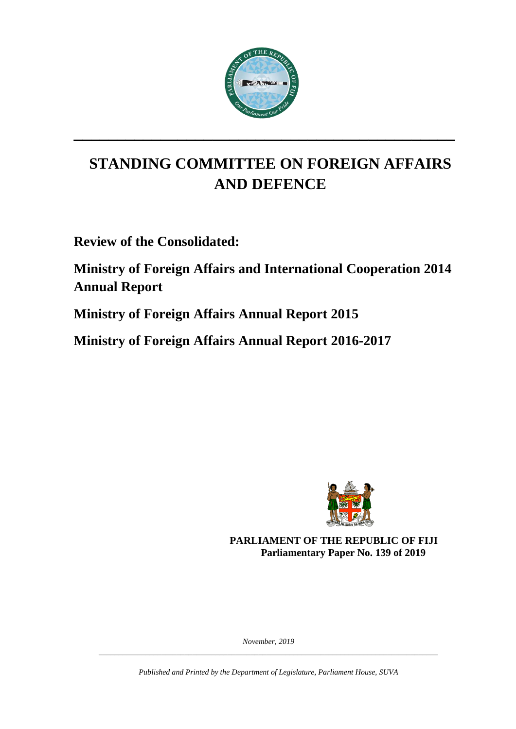

**\_\_\_\_\_\_\_\_\_\_\_\_\_\_\_\_\_\_\_\_\_\_\_\_\_\_\_\_\_\_\_\_\_\_\_\_\_\_\_\_\_\_\_\_**

# **STANDING COMMITTEE ON FOREIGN AFFAIRS AND DEFENCE**

**Review of the Consolidated:**

**Ministry of Foreign Affairs and International Cooperation 2014 Annual Report**

**Ministry of Foreign Affairs Annual Report 2015**

**Ministry of Foreign Affairs Annual Report 2016-2017**



**PARLIAMENT OF THE REPUBLIC OF FIJI Parliamentary Paper No. 139 of 2019**

*November, 2019 \_\_\_\_\_\_\_\_\_\_\_\_\_\_\_\_\_\_\_\_\_\_\_\_\_\_\_\_\_\_\_\_\_\_\_\_\_\_\_\_\_\_\_\_\_\_\_\_\_\_\_\_\_\_\_\_\_\_\_\_\_\_\_\_\_\_\_\_\_\_\_\_\_\_\_\_\_\_\_\_\_\_\_\_\_\_\_*

*Published and Printed by the Department of Legislature, Parliament House, SUVA*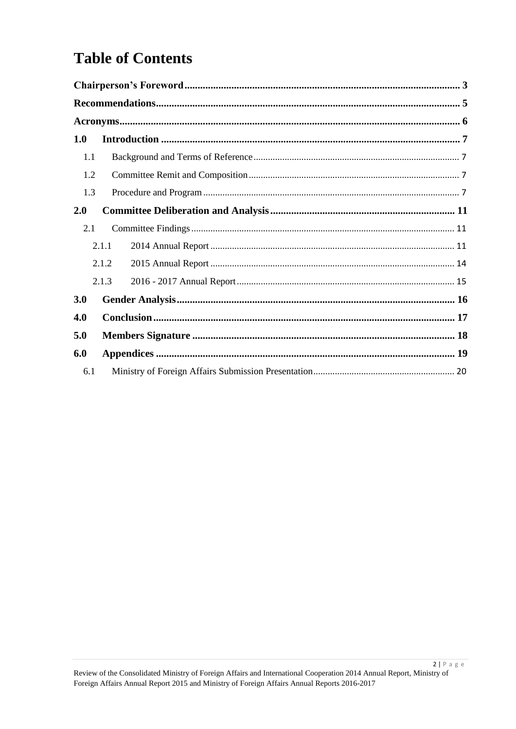# **Table of Contents**

| 1.0 |       |  |
|-----|-------|--|
| 1.1 |       |  |
| 1.2 |       |  |
| 1.3 |       |  |
| 2.0 |       |  |
| 2.1 |       |  |
|     | 2.1.1 |  |
|     | 2.1.2 |  |
|     | 2.1.3 |  |
| 3.0 |       |  |
| 4.0 |       |  |
| 5.0 |       |  |
| 6.0 |       |  |
| 6.1 |       |  |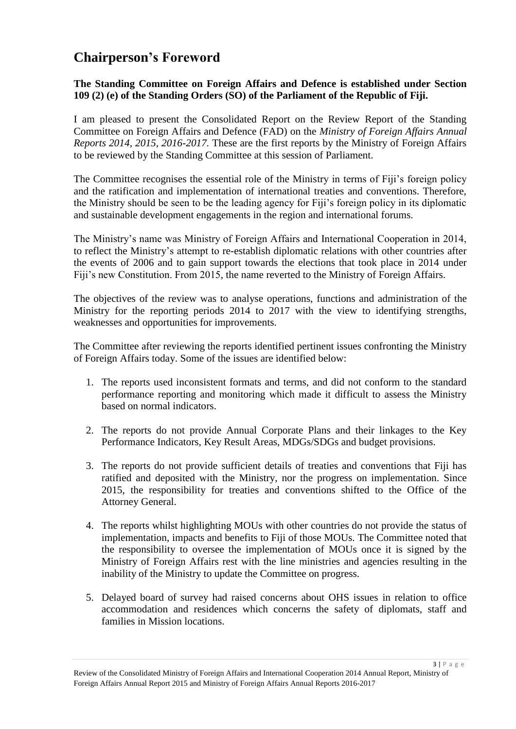## <span id="page-2-0"></span>**Chairperson's Foreword**

#### **The Standing Committee on Foreign Affairs and Defence is established under Section 109 (2) (e) of the Standing Orders (SO) of the Parliament of the Republic of Fiji.**

I am pleased to present the Consolidated Report on the Review Report of the Standing Committee on Foreign Affairs and Defence (FAD) on the *Ministry of Foreign Affairs Annual Reports 2014, 2015, 2016-2017.* These are the first reports by the Ministry of Foreign Affairs to be reviewed by the Standing Committee at this session of Parliament.

The Committee recognises the essential role of the Ministry in terms of Fiji's foreign policy and the ratification and implementation of international treaties and conventions. Therefore, the Ministry should be seen to be the leading agency for Fiji's foreign policy in its diplomatic and sustainable development engagements in the region and international forums.

The Ministry's name was Ministry of Foreign Affairs and International Cooperation in 2014, to reflect the Ministry's attempt to re-establish diplomatic relations with other countries after the events of 2006 and to gain support towards the elections that took place in 2014 under Fiji's new Constitution. From 2015, the name reverted to the Ministry of Foreign Affairs.

The objectives of the review was to analyse operations, functions and administration of the Ministry for the reporting periods 2014 to 2017 with the view to identifying strengths, weaknesses and opportunities for improvements.

The Committee after reviewing the reports identified pertinent issues confronting the Ministry of Foreign Affairs today. Some of the issues are identified below:

- 1. The reports used inconsistent formats and terms, and did not conform to the standard performance reporting and monitoring which made it difficult to assess the Ministry based on normal indicators.
- 2. The reports do not provide Annual Corporate Plans and their linkages to the Key Performance Indicators, Key Result Areas, MDGs/SDGs and budget provisions.
- 3. The reports do not provide sufficient details of treaties and conventions that Fiji has ratified and deposited with the Ministry, nor the progress on implementation. Since 2015, the responsibility for treaties and conventions shifted to the Office of the Attorney General.
- 4. The reports whilst highlighting MOUs with other countries do not provide the status of implementation, impacts and benefits to Fiji of those MOUs. The Committee noted that the responsibility to oversee the implementation of MOUs once it is signed by the Ministry of Foreign Affairs rest with the line ministries and agencies resulting in the inability of the Ministry to update the Committee on progress.
- 5. Delayed board of survey had raised concerns about OHS issues in relation to office accommodation and residences which concerns the safety of diplomats, staff and families in Mission locations.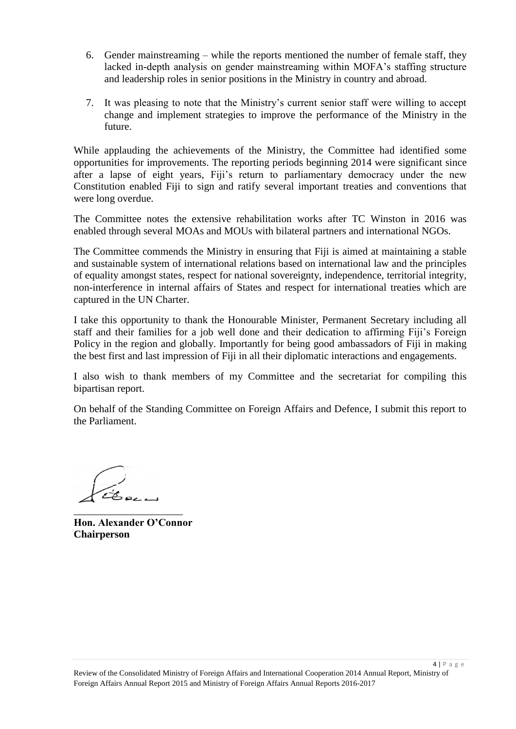- 6. Gender mainstreaming while the reports mentioned the number of female staff, they lacked in-depth analysis on gender mainstreaming within MOFA's staffing structure and leadership roles in senior positions in the Ministry in country and abroad.
- 7. It was pleasing to note that the Ministry's current senior staff were willing to accept change and implement strategies to improve the performance of the Ministry in the future.

While applauding the achievements of the Ministry, the Committee had identified some opportunities for improvements. The reporting periods beginning 2014 were significant since after a lapse of eight years, Fiji's return to parliamentary democracy under the new Constitution enabled Fiji to sign and ratify several important treaties and conventions that were long overdue.

The Committee notes the extensive rehabilitation works after TC Winston in 2016 was enabled through several MOAs and MOUs with bilateral partners and international NGOs.

The Committee commends the Ministry in ensuring that Fiji is aimed at maintaining a stable and sustainable system of international relations based on international law and the principles of equality amongst states, respect for national sovereignty, independence, territorial integrity, non-interference in internal affairs of States and respect for international treaties which are captured in the UN Charter.

I take this opportunity to thank the Honourable Minister, Permanent Secretary including all staff and their families for a job well done and their dedication to affirming Fiji's Foreign Policy in the region and globally. Importantly for being good ambassadors of Fiji in making the best first and last impression of Fiji in all their diplomatic interactions and engagements.

I also wish to thank members of my Committee and the secretariat for compiling this bipartisan report.

On behalf of the Standing Committee on Foreign Affairs and Defence, I submit this report to the Parliament.

\_\_\_\_\_\_\_\_\_\_\_\_\_\_\_\_\_\_\_\_\_

**Hon. Alexander O'Connor Chairperson**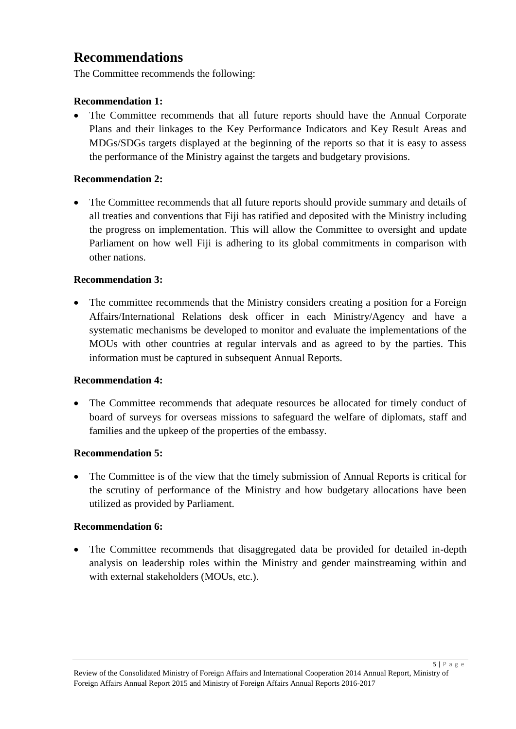### <span id="page-4-0"></span>**Recommendations**

The Committee recommends the following:

#### **Recommendation 1:**

• The Committee recommends that all future reports should have the Annual Corporate Plans and their linkages to the Key Performance Indicators and Key Result Areas and MDGs/SDGs targets displayed at the beginning of the reports so that it is easy to assess the performance of the Ministry against the targets and budgetary provisions.

#### **Recommendation 2:**

 The Committee recommends that all future reports should provide summary and details of all treaties and conventions that Fiji has ratified and deposited with the Ministry including the progress on implementation. This will allow the Committee to oversight and update Parliament on how well Fiji is adhering to its global commitments in comparison with other nations.

#### **Recommendation 3:**

• The committee recommends that the Ministry considers creating a position for a Foreign Affairs/International Relations desk officer in each Ministry/Agency and have a systematic mechanisms be developed to monitor and evaluate the implementations of the MOUs with other countries at regular intervals and as agreed to by the parties. This information must be captured in subsequent Annual Reports.

#### **Recommendation 4:**

 The Committee recommends that adequate resources be allocated for timely conduct of board of surveys for overseas missions to safeguard the welfare of diplomats, staff and families and the upkeep of the properties of the embassy.

#### **Recommendation 5:**

• The Committee is of the view that the timely submission of Annual Reports is critical for the scrutiny of performance of the Ministry and how budgetary allocations have been utilized as provided by Parliament.

#### **Recommendation 6:**

 The Committee recommends that disaggregated data be provided for detailed in-depth analysis on leadership roles within the Ministry and gender mainstreaming within and with external stakeholders (MOUs, etc.).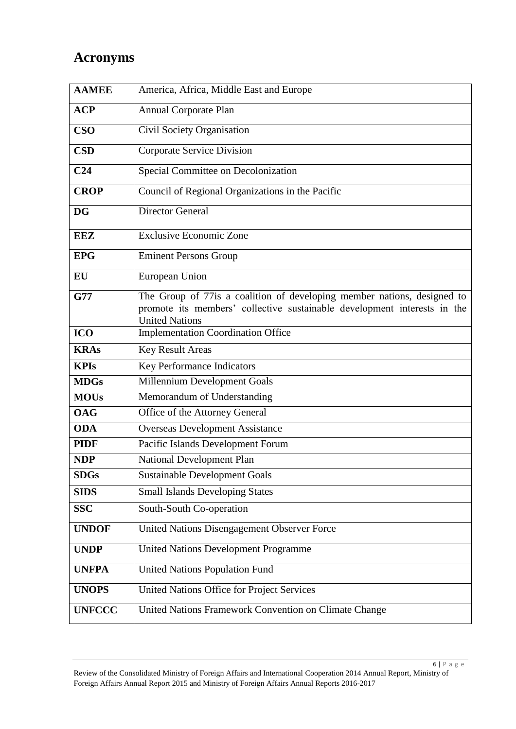## <span id="page-5-0"></span>**Acronyms**

| <b>AAMEE</b>    | America, Africa, Middle East and Europe                                                                                                                                      |
|-----------------|------------------------------------------------------------------------------------------------------------------------------------------------------------------------------|
| <b>ACP</b>      | <b>Annual Corporate Plan</b>                                                                                                                                                 |
| <b>CSO</b>      | Civil Society Organisation                                                                                                                                                   |
| <b>CSD</b>      | <b>Corporate Service Division</b>                                                                                                                                            |
| C <sub>24</sub> | Special Committee on Decolonization                                                                                                                                          |
| <b>CROP</b>     | Council of Regional Organizations in the Pacific                                                                                                                             |
| <b>DG</b>       | <b>Director General</b>                                                                                                                                                      |
| <b>EEZ</b>      | <b>Exclusive Economic Zone</b>                                                                                                                                               |
| <b>EPG</b>      | <b>Eminent Persons Group</b>                                                                                                                                                 |
| <b>EU</b>       | European Union                                                                                                                                                               |
| <b>G77</b>      | The Group of 77is a coalition of developing member nations, designed to<br>promote its members' collective sustainable development interests in the<br><b>United Nations</b> |
| <b>ICO</b>      | <b>Implementation Coordination Office</b>                                                                                                                                    |
| <b>KRAs</b>     | <b>Key Result Areas</b>                                                                                                                                                      |
| <b>KPIs</b>     | Key Performance Indicators                                                                                                                                                   |
| <b>MDGs</b>     | Millennium Development Goals                                                                                                                                                 |
| <b>MOUs</b>     | Memorandum of Understanding                                                                                                                                                  |
| <b>OAG</b>      | Office of the Attorney General                                                                                                                                               |
| <b>ODA</b>      | <b>Overseas Development Assistance</b>                                                                                                                                       |
| <b>PIDF</b>     | Pacific Islands Development Forum                                                                                                                                            |
| <b>NDP</b>      | <b>National Development Plan</b>                                                                                                                                             |
| <b>SDGs</b>     | <b>Sustainable Development Goals</b>                                                                                                                                         |
| <b>SIDS</b>     | <b>Small Islands Developing States</b>                                                                                                                                       |
| <b>SSC</b>      | South-South Co-operation                                                                                                                                                     |
| <b>UNDOF</b>    | United Nations Disengagement Observer Force                                                                                                                                  |
| <b>UNDP</b>     | <b>United Nations Development Programme</b>                                                                                                                                  |
| <b>UNFPA</b>    | <b>United Nations Population Fund</b>                                                                                                                                        |
| <b>UNOPS</b>    | United Nations Office for Project Services                                                                                                                                   |
| <b>UNFCCC</b>   | United Nations Framework Convention on Climate Change                                                                                                                        |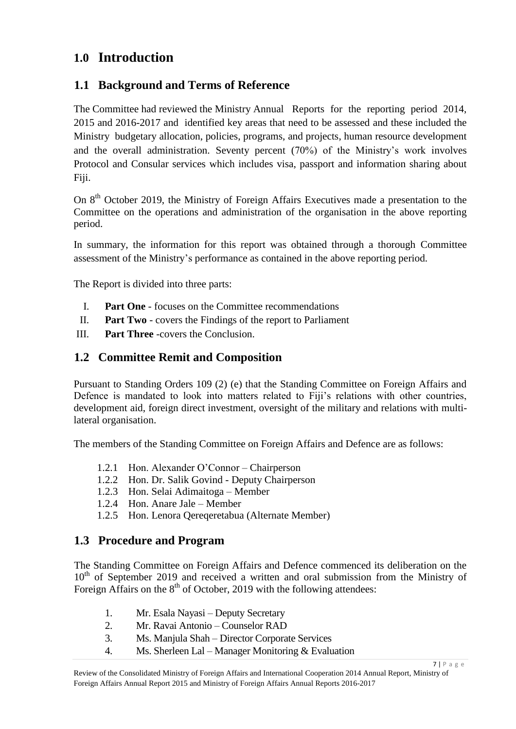### <span id="page-6-0"></span>**1.0 Introduction**

### <span id="page-6-1"></span>**1.1 Background and Terms of Reference**

The Committee had reviewed the Ministry Annual Reports for the reporting period 2014, 2015 and 2016-2017 and identified key areas that need to be assessed and these included the Ministry budgetary allocation, policies, programs, and projects, human resource development and the overall administration. Seventy percent (70%) of the Ministry's work involves Protocol and Consular services which includes visa, passport and information sharing about Fiji.

On 8th October 2019, the Ministry of Foreign Affairs Executives made a presentation to the Committee on the operations and administration of the organisation in the above reporting period.

In summary, the information for this report was obtained through a thorough Committee assessment of the Ministry's performance as contained in the above reporting period.

The Report is divided into three parts:

- I. **Part One** focuses on the Committee recommendations
- II. **Part Two** covers the Findings of the report to Parliament
- III. **Part Three** -covers the Conclusion.

#### <span id="page-6-2"></span>**1.2 Committee Remit and Composition**

Pursuant to Standing Orders 109 (2) (e) that the Standing Committee on Foreign Affairs and Defence is mandated to look into matters related to Fiji's relations with other countries, development aid, foreign direct investment, oversight of the military and relations with multilateral organisation.

The members of the Standing Committee on Foreign Affairs and Defence are as follows:

- 1.2.1 Hon. Alexander O'Connor Chairperson
- 1.2.2 Hon. Dr. Salik Govind Deputy Chairperson
- 1.2.3 Hon. Selai Adimaitoga Member
- 1.2.4 Hon. Anare Jale Member
- 1.2.5 Hon. Lenora Qereqeretabua (Alternate Member)

#### <span id="page-6-3"></span>**1.3 Procedure and Program**

The Standing Committee on Foreign Affairs and Defence commenced its deliberation on the  $10<sup>th</sup>$  of September 2019 and received a written and oral submission from the Ministry of Foreign Affairs on the  $8<sup>th</sup>$  of October, 2019 with the following attendees:

- 1. Mr. Esala Nayasi Deputy Secretary
- 2. Mr. Ravai Antonio Counselor RAD
- 3. Ms. Manjula Shah Director Corporate Services
- 4. Ms. Sherleen Lal Manager Monitoring & Evaluation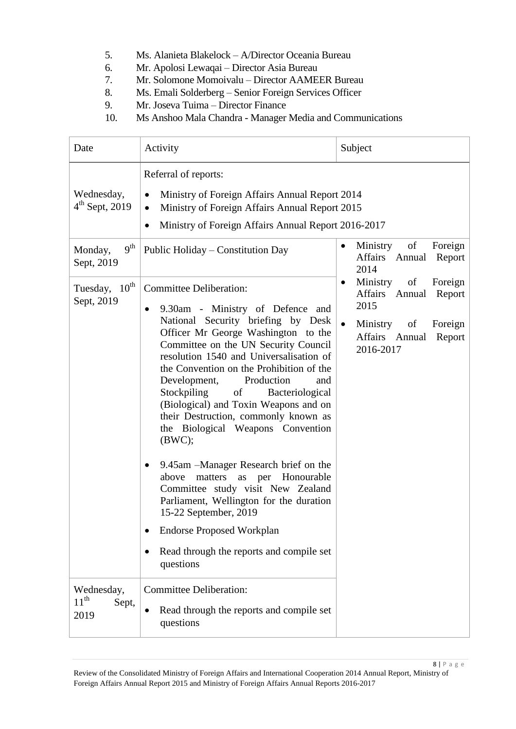- 5. Ms. Alanieta Blakelock A/Director Oceania Bureau
- 6. Mr. Apolosi Lewaqai Director Asia Bureau
- 7. Mr. Solomone Momoivalu Director AAMEER Bureau
- 8. Ms. Emali Solderberg Senior Foreign Services Officer
- 9. Mr. Joseva Tuima Director Finance
- 10. Ms Anshoo Mala Chandra Manager Media and Communications

| Date                                     | Activity                                                                                                                                                                                                                                                                                                                                                                                                                                                                                                                                                                                                                                                                                                                                                                                                                    | Subject                                                                                                                                  |  |  |
|------------------------------------------|-----------------------------------------------------------------------------------------------------------------------------------------------------------------------------------------------------------------------------------------------------------------------------------------------------------------------------------------------------------------------------------------------------------------------------------------------------------------------------------------------------------------------------------------------------------------------------------------------------------------------------------------------------------------------------------------------------------------------------------------------------------------------------------------------------------------------------|------------------------------------------------------------------------------------------------------------------------------------------|--|--|
| Wednesday,<br>$4th$ Sept, 2019           | Referral of reports:<br>Ministry of Foreign Affairs Annual Report 2014<br>$\bullet$<br>Ministry of Foreign Affairs Annual Report 2015<br>$\bullet$<br>Ministry of Foreign Affairs Annual Report 2016-2017<br>$\bullet$                                                                                                                                                                                                                                                                                                                                                                                                                                                                                                                                                                                                      |                                                                                                                                          |  |  |
| 9 <sup>th</sup><br>Monday,<br>Sept, 2019 | Public Holiday – Constitution Day                                                                                                                                                                                                                                                                                                                                                                                                                                                                                                                                                                                                                                                                                                                                                                                           | Ministry<br>of<br>Foreign<br>$\bullet$<br>Affairs Annual<br>Report<br>2014                                                               |  |  |
| Tuesday, 10 <sup>th</sup><br>Sept, 2019  | <b>Committee Deliberation:</b><br>9.30am - Ministry of Defence and<br>$\bullet$<br>National Security briefing by Desk<br>Officer Mr George Washington to the<br>Committee on the UN Security Council<br>resolution 1540 and Universalisation of<br>the Convention on the Prohibition of the<br>Development,<br>Production<br>and<br>Stockpiling<br>of<br>Bacteriological<br>(Biological) and Toxin Weapons and on<br>their Destruction, commonly known as<br>the Biological Weapons Convention<br>(BWC);<br>9.45am – Manager Research brief on the<br>$\bullet$<br>matters<br>as per Honourable<br>above<br>Committee study visit New Zealand<br>Parliament, Wellington for the duration<br>15-22 September, 2019<br><b>Endorse Proposed Workplan</b><br>Read through the reports and compile set<br>$\bullet$<br>questions | Ministry<br>of<br>Foreign<br>٠<br>Affairs Annual<br>Report<br>2015<br>Ministry<br>of<br>Foreign<br>Affairs Annual<br>Report<br>2016-2017 |  |  |
| Wednesday,<br>$11^{th}$<br>Sept,<br>2019 | <b>Committee Deliberation:</b><br>Read through the reports and compile set<br>$\bullet$<br>questions                                                                                                                                                                                                                                                                                                                                                                                                                                                                                                                                                                                                                                                                                                                        |                                                                                                                                          |  |  |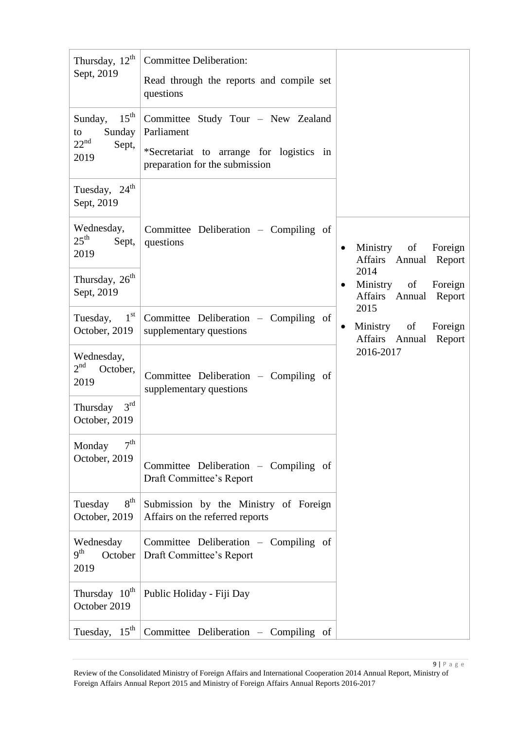| Thursday, $12^{th}$<br>Sept, 2019                                                           | <b>Committee Deliberation:</b><br>Read through the reports and compile set<br>questions                                        |                                                                                                              |
|---------------------------------------------------------------------------------------------|--------------------------------------------------------------------------------------------------------------------------------|--------------------------------------------------------------------------------------------------------------|
| Sunday, $15^{\text{th}}$<br>Sunday<br>to<br>$22^{\text{nd}}$<br>Sept,<br>2019               | Committee Study Tour - New Zealand<br>Parliament<br>*Secretariat to arrange for logistics in<br>preparation for the submission |                                                                                                              |
| Tuesday, $24^{\text{th}}$<br>Sept, 2019                                                     |                                                                                                                                |                                                                                                              |
| Wednesday,<br>$25^{\text{th}}$<br>Sept,<br>2019<br>Thursday, 26 <sup>th</sup><br>Sept, 2019 | Committee Deliberation - Compiling of<br>questions                                                                             | Ministry of<br>Foreign<br>Affairs Annual Report<br>2014<br>Ministry of Foreign<br>٠<br>Affairs Annual Report |
| Tuesday, $1st$<br>October, 2019                                                             | Committee Deliberation - Compiling of<br>supplementary questions                                                               | 2015<br>Ministry of<br>Foreign<br>$\bullet$<br>Affairs Annual<br>Report                                      |
| Wednesday,<br>2 <sup>nd</sup><br>October,<br>2019<br>Thursday $3rd$<br>October, 2019        | Committee Deliberation - Compiling of<br>supplementary questions                                                               | 2016-2017                                                                                                    |
| 7 <sup>th</sup><br>Monday<br>October, 2019                                                  | Committee Deliberation – Compiling of<br>Draft Committee's Report                                                              |                                                                                                              |
| $8^{\text{th}}$<br>Tuesday<br>October, 2019                                                 | Submission by the Ministry of Foreign<br>Affairs on the referred reports                                                       |                                                                                                              |
| Wednesday<br>9 <sup>th</sup><br>October<br>2019                                             | Committee Deliberation - Compiling of<br>Draft Committee's Report                                                              |                                                                                                              |
| Thursday 10 <sup>th</sup><br>October 2019                                                   | Public Holiday - Fiji Day                                                                                                      |                                                                                                              |
| Tuesday, $15^{\text{th}}$                                                                   | Committee Deliberation - Compiling of                                                                                          |                                                                                                              |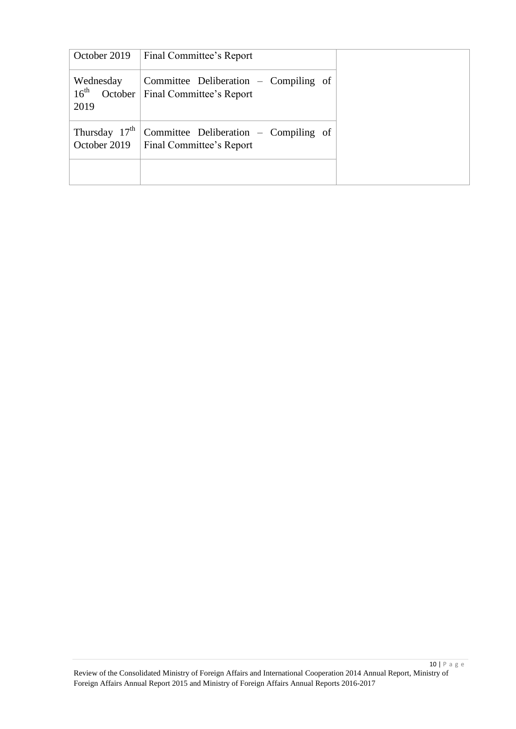| October 2019                          | Final Committee's Report                                                         |  |
|---------------------------------------|----------------------------------------------------------------------------------|--|
| Wednesday<br>16 <sup>th</sup><br>2019 | Committee Deliberation – Compiling of<br>October   Final Committee's Report      |  |
| Thursday $17th$                       | Committee Deliberation – Compiling of<br>October 2019   Final Committee's Report |  |
|                                       |                                                                                  |  |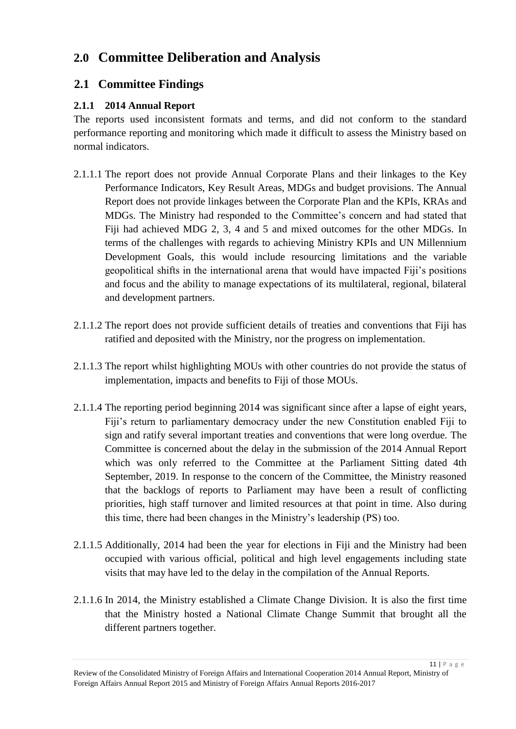## <span id="page-10-0"></span>**2.0 Committee Deliberation and Analysis**

### <span id="page-10-1"></span>**2.1 Committee Findings**

#### <span id="page-10-2"></span>**2.1.1 2014 Annual Report**

The reports used inconsistent formats and terms, and did not conform to the standard performance reporting and monitoring which made it difficult to assess the Ministry based on normal indicators.

- 2.1.1.1 The report does not provide Annual Corporate Plans and their linkages to the Key Performance Indicators, Key Result Areas, MDGs and budget provisions. The Annual Report does not provide linkages between the Corporate Plan and the KPIs, KRAs and MDGs. The Ministry had responded to the Committee's concern and had stated that Fiji had achieved MDG 2, 3, 4 and 5 and mixed outcomes for the other MDGs. In terms of the challenges with regards to achieving Ministry KPIs and UN Millennium Development Goals, this would include resourcing limitations and the variable geopolitical shifts in the international arena that would have impacted Fiji's positions and focus and the ability to manage expectations of its multilateral, regional, bilateral and development partners.
- 2.1.1.2 The report does not provide sufficient details of treaties and conventions that Fiji has ratified and deposited with the Ministry, nor the progress on implementation.
- 2.1.1.3 The report whilst highlighting MOUs with other countries do not provide the status of implementation, impacts and benefits to Fiji of those MOUs.
- 2.1.1.4 The reporting period beginning 2014 was significant since after a lapse of eight years, Fiji's return to parliamentary democracy under the new Constitution enabled Fiji to sign and ratify several important treaties and conventions that were long overdue. The Committee is concerned about the delay in the submission of the 2014 Annual Report which was only referred to the Committee at the Parliament Sitting dated 4th September, 2019. In response to the concern of the Committee, the Ministry reasoned that the backlogs of reports to Parliament may have been a result of conflicting priorities, high staff turnover and limited resources at that point in time. Also during this time, there had been changes in the Ministry's leadership (PS) too.
- 2.1.1.5 Additionally, 2014 had been the year for elections in Fiji and the Ministry had been occupied with various official, political and high level engagements including state visits that may have led to the delay in the compilation of the Annual Reports.
- 2.1.1.6 In 2014, the Ministry established a Climate Change Division. It is also the first time that the Ministry hosted a National Climate Change Summit that brought all the different partners together.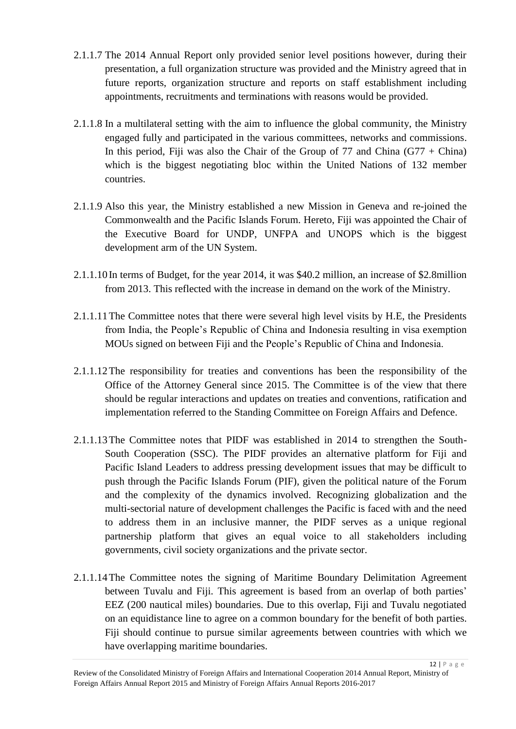- 2.1.1.7 The 2014 Annual Report only provided senior level positions however, during their presentation, a full organization structure was provided and the Ministry agreed that in future reports, organization structure and reports on staff establishment including appointments, recruitments and terminations with reasons would be provided.
- 2.1.1.8 In a multilateral setting with the aim to influence the global community, the Ministry engaged fully and participated in the various committees, networks and commissions. In this period, Fiji was also the Chair of the Group of 77 and China  $(G77 + China)$ which is the biggest negotiating bloc within the United Nations of 132 member countries.
- 2.1.1.9 Also this year, the Ministry established a new Mission in Geneva and re-joined the Commonwealth and the Pacific Islands Forum. Hereto, Fiji was appointed the Chair of the Executive Board for UNDP, UNFPA and UNOPS which is the biggest development arm of the UN System.
- 2.1.1.10 In terms of Budget, for the year 2014, it was \$40.2 million, an increase of \$2.8million from 2013. This reflected with the increase in demand on the work of the Ministry.
- 2.1.1.11The Committee notes that there were several high level visits by H.E, the Presidents from India, the People's Republic of China and Indonesia resulting in visa exemption MOUs signed on between Fiji and the People's Republic of China and Indonesia.
- 2.1.1.12The responsibility for treaties and conventions has been the responsibility of the Office of the Attorney General since 2015. The Committee is of the view that there should be regular interactions and updates on treaties and conventions, ratification and implementation referred to the Standing Committee on Foreign Affairs and Defence.
- 2.1.1.13The Committee notes that PIDF was established in 2014 to strengthen the South-South Cooperation (SSC). The PIDF provides an alternative platform for Fiji and Pacific Island Leaders to address pressing development issues that may be difficult to push through the Pacific Islands Forum (PIF), given the political nature of the Forum and the complexity of the dynamics involved. Recognizing globalization and the multi-sectorial nature of development challenges the Pacific is faced with and the need to address them in an inclusive manner, the PIDF serves as a unique regional partnership platform that gives an equal voice to all stakeholders including governments, civil society organizations and the private sector.
- 2.1.1.14The Committee notes the signing of Maritime Boundary Delimitation Agreement between Tuvalu and Fiji. This agreement is based from an overlap of both parties' EEZ (200 nautical miles) boundaries. Due to this overlap, Fiji and Tuvalu negotiated on an equidistance line to agree on a common boundary for the benefit of both parties. Fiji should continue to pursue similar agreements between countries with which we have overlapping maritime boundaries.

Review of the Consolidated Ministry of Foreign Affairs and International Cooperation 2014 Annual Report, Ministry of Foreign Affairs Annual Report 2015 and Ministry of Foreign Affairs Annual Reports 2016-2017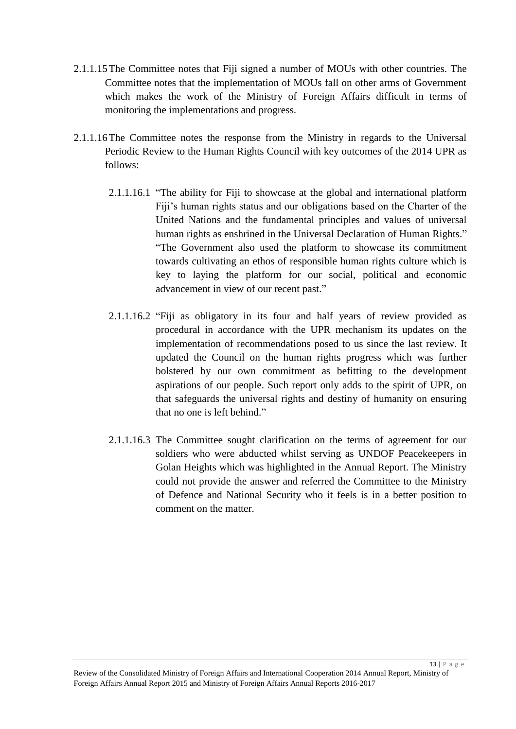- 2.1.1.15The Committee notes that Fiji signed a number of MOUs with other countries. The Committee notes that the implementation of MOUs fall on other arms of Government which makes the work of the Ministry of Foreign Affairs difficult in terms of monitoring the implementations and progress.
- 2.1.1.16The Committee notes the response from the Ministry in regards to the Universal Periodic Review to the Human Rights Council with key outcomes of the 2014 UPR as follows:
	- 2.1.1.16.1 "The ability for Fiji to showcase at the global and international platform Fiji's human rights status and our obligations based on the Charter of the United Nations and the fundamental principles and values of universal human rights as enshrined in the Universal Declaration of Human Rights." "The Government also used the platform to showcase its commitment towards cultivating an ethos of responsible human rights culture which is key to laying the platform for our social, political and economic advancement in view of our recent past."
	- 2.1.1.16.2 "Fiji as obligatory in its four and half years of review provided as procedural in accordance with the UPR mechanism its updates on the implementation of recommendations posed to us since the last review. It updated the Council on the human rights progress which was further bolstered by our own commitment as befitting to the development aspirations of our people. Such report only adds to the spirit of UPR, on that safeguards the universal rights and destiny of humanity on ensuring that no one is left behind."
	- 2.1.1.16.3 The Committee sought clarification on the terms of agreement for our soldiers who were abducted whilst serving as UNDOF Peacekeepers in Golan Heights which was highlighted in the Annual Report. The Ministry could not provide the answer and referred the Committee to the Ministry of Defence and National Security who it feels is in a better position to comment on the matter.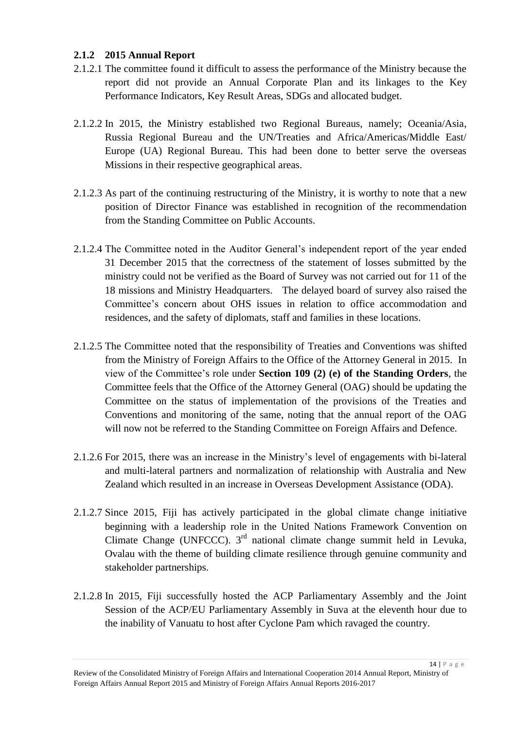#### <span id="page-13-0"></span>**2.1.2 2015 Annual Report**

- 2.1.2.1 The committee found it difficult to assess the performance of the Ministry because the report did not provide an Annual Corporate Plan and its linkages to the Key Performance Indicators, Key Result Areas, SDGs and allocated budget.
- 2.1.2.2 In 2015, the Ministry established two Regional Bureaus, namely; Oceania/Asia, Russia Regional Bureau and the UN/Treaties and Africa/Americas/Middle East/ Europe (UA) Regional Bureau. This had been done to better serve the overseas Missions in their respective geographical areas.
- 2.1.2.3 As part of the continuing restructuring of the Ministry, it is worthy to note that a new position of Director Finance was established in recognition of the recommendation from the Standing Committee on Public Accounts.
- 2.1.2.4 The Committee noted in the Auditor General's independent report of the year ended 31 December 2015 that the correctness of the statement of losses submitted by the ministry could not be verified as the Board of Survey was not carried out for 11 of the 18 missions and Ministry Headquarters. The delayed board of survey also raised the Committee's concern about OHS issues in relation to office accommodation and residences, and the safety of diplomats, staff and families in these locations.
- 2.1.2.5 The Committee noted that the responsibility of Treaties and Conventions was shifted from the Ministry of Foreign Affairs to the Office of the Attorney General in 2015. In view of the Committee's role under **Section 109 (2) (e) of the Standing Orders**, the Committee feels that the Office of the Attorney General (OAG) should be updating the Committee on the status of implementation of the provisions of the Treaties and Conventions and monitoring of the same, noting that the annual report of the OAG will now not be referred to the Standing Committee on Foreign Affairs and Defence.
- 2.1.2.6 For 2015, there was an increase in the Ministry's level of engagements with bi-lateral and multi-lateral partners and normalization of relationship with Australia and New Zealand which resulted in an increase in Overseas Development Assistance (ODA).
- 2.1.2.7 Since 2015, Fiji has actively participated in the global climate change initiative beginning with a leadership role in the United Nations Framework Convention on Climate Change (UNFCCC).  $3<sup>rd</sup>$  national climate change summit held in Levuka, Ovalau with the theme of building climate resilience through genuine community and stakeholder partnerships.
- 2.1.2.8 In 2015, Fiji successfully hosted the ACP Parliamentary Assembly and the Joint Session of the ACP/EU Parliamentary Assembly in Suva at the eleventh hour due to the inability of Vanuatu to host after Cyclone Pam which ravaged the country.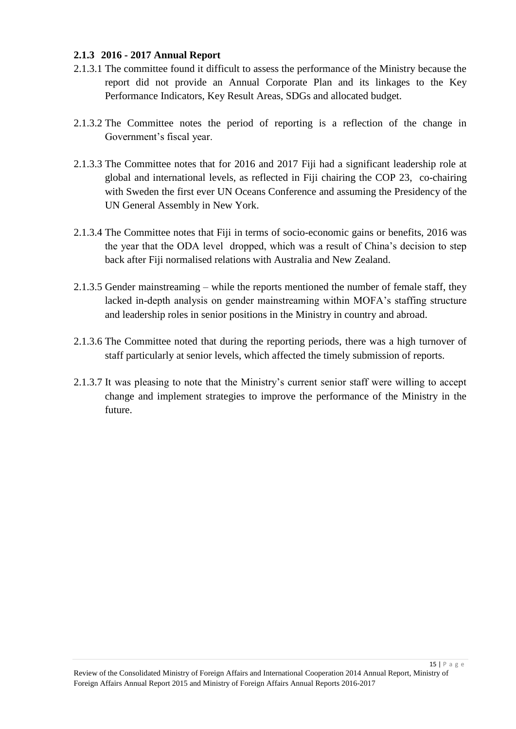#### <span id="page-14-0"></span>**2.1.3 2016 - 2017 Annual Report**

- 2.1.3.1 The committee found it difficult to assess the performance of the Ministry because the report did not provide an Annual Corporate Plan and its linkages to the Key Performance Indicators, Key Result Areas, SDGs and allocated budget.
- 2.1.3.2 The Committee notes the period of reporting is a reflection of the change in Government's fiscal year.
- 2.1.3.3 The Committee notes that for 2016 and 2017 Fiji had a significant leadership role at global and international levels, as reflected in Fiji chairing the COP 23, co-chairing with Sweden the first ever UN Oceans Conference and assuming the Presidency of the UN General Assembly in New York.
- 2.1.3.4 The Committee notes that Fiji in terms of socio-economic gains or benefits, 2016 was the year that the ODA level dropped, which was a result of China's decision to step back after Fiji normalised relations with Australia and New Zealand.
- 2.1.3.5 Gender mainstreaming while the reports mentioned the number of female staff, they lacked in-depth analysis on gender mainstreaming within MOFA's staffing structure and leadership roles in senior positions in the Ministry in country and abroad.
- 2.1.3.6 The Committee noted that during the reporting periods, there was a high turnover of staff particularly at senior levels, which affected the timely submission of reports.
- 2.1.3.7 It was pleasing to note that the Ministry's current senior staff were willing to accept change and implement strategies to improve the performance of the Ministry in the future.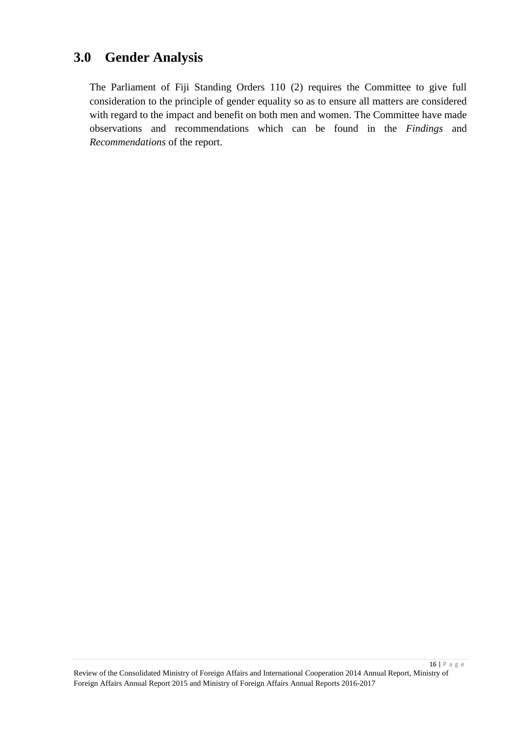### <span id="page-15-0"></span>**3.0 Gender Analysis**

The Parliament of Fiji Standing Orders 110 (2) requires the Committee to give full consideration to the principle of gender equality so as to ensure all matters are considered with regard to the impact and benefit on both men and women. The Committee have made observations and recommendations which can be found in the *Findings* and *Recommendations* of the report.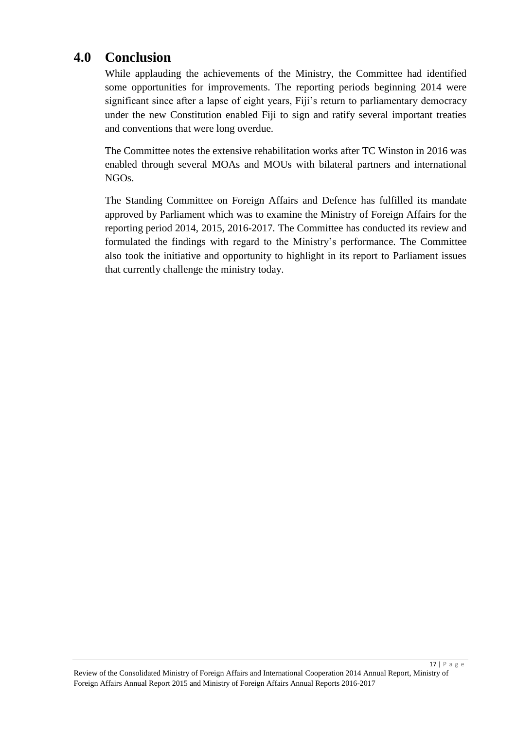### <span id="page-16-0"></span>**4.0 Conclusion**

While applauding the achievements of the Ministry, the Committee had identified some opportunities for improvements. The reporting periods beginning 2014 were significant since after a lapse of eight years, Fiji's return to parliamentary democracy under the new Constitution enabled Fiji to sign and ratify several important treaties and conventions that were long overdue.

The Committee notes the extensive rehabilitation works after TC Winston in 2016 was enabled through several MOAs and MOUs with bilateral partners and international NGOs.

The Standing Committee on Foreign Affairs and Defence has fulfilled its mandate approved by Parliament which was to examine the Ministry of Foreign Affairs for the reporting period 2014, 2015, 2016-2017. The Committee has conducted its review and formulated the findings with regard to the Ministry's performance. The Committee also took the initiative and opportunity to highlight in its report to Parliament issues that currently challenge the ministry today.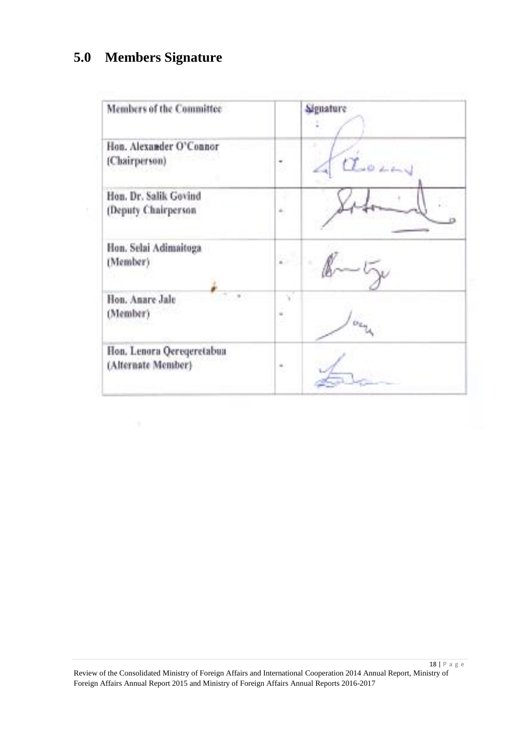## <span id="page-17-0"></span>**5.0 Members Signature**

 $\mathbb{R}^n$  .

| Members of the Committee                        |          | Signature        |
|-------------------------------------------------|----------|------------------|
| Hon. Alexander O'Connor<br>(Chairperson)        | Ĩ.       | $\sigma$         |
| Hon. Dr. Salik Govind<br>(Deputy Chairperson    | $\pm$    |                  |
| Hon. Selai Adimaitoga<br>(Member)               | ä5       |                  |
| Hon. Anare Jale<br>(Member)                     | $\equiv$ | tr <sub>ip</sub> |
| Hon, Lenora Qereqeretabua<br>(Alternate Member) | ×<br>×.  |                  |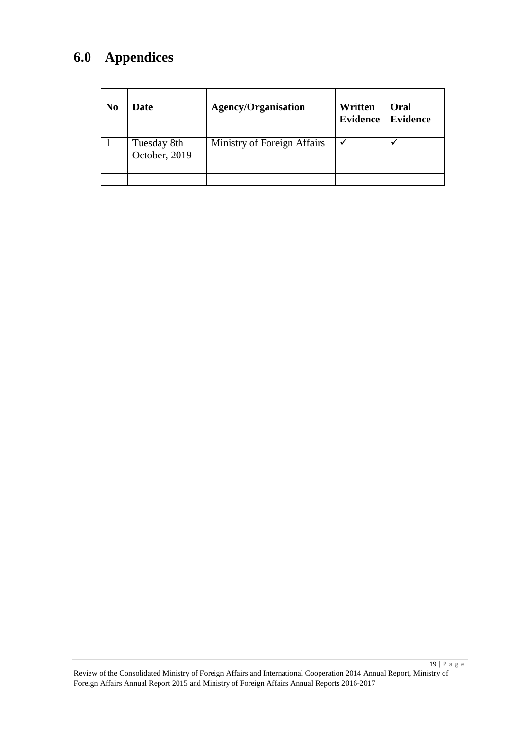## <span id="page-18-0"></span>**6.0 Appendices**

| N <sub>0</sub> | <b>Date</b>                  | <b>Agency/Organisation</b>  | Written<br><b>Evidence</b> | Oral<br><b>Evidence</b> |
|----------------|------------------------------|-----------------------------|----------------------------|-------------------------|
|                | Tuesday 8th<br>October, 2019 | Ministry of Foreign Affairs |                            |                         |
|                |                              |                             |                            |                         |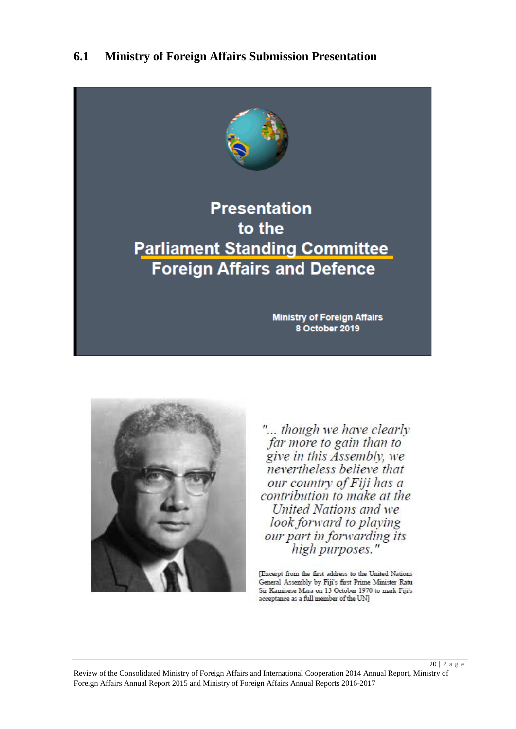### <span id="page-19-0"></span>**6.1 Ministry of Foreign Affairs Submission Presentation**





"... though we have clearly far more to gain than to give in this Assembly, we nevertheless believe that our country of Fiji has a contribution to make at the United Nations and we look forward to playing our part in forwarding its<br>high purposes."

[Excerpt from the first address to the United Nations General Assembly by Fiji's first Prime Minister Ratu Sir Kamisese Mara on 13 October 1970 to mark Fiji's acceptance as a full member of the UN]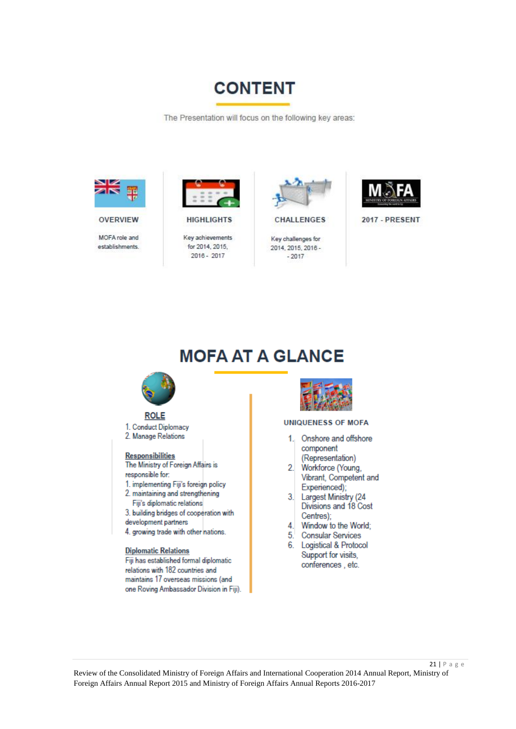

The Presentation will focus on the following key areas:



**OVERVIEW** 

MOFA role and establishments



**HIGHLIGHTS** 

Key achievements for 2014, 2015.  $2016 - 2017$ 



CHALLENGES

Key challenges for 2014, 2015, 2016 - $-2017$ 



**2017 - PRESENT** 

## **MOFA AT A GLANCE**



#### **ROLE**

1. Conduct Diplomacy 2. Manage Relations

#### Responsibilities

The Ministry of Foreign Affairs is responsible for:

- 1. implementing Fiji's foreign policy 2. maintaining and strengthening
- Fiji's diplomatic relations
- 3. building bridges of cooperation with development partners
- 4. growing trade with other nations.

#### **Diplomatic Relations**

Fiji has established formal diplomatic relations with 182 countries and maintains 17 overseas missions (and one Roving Ambassador Division in Fiji).



#### **UNIQUENESS OF MOFA**

- $1.$ Onshore and offshore component (Representation)
- $2.$ Workforce (Young, Vibrant, Competent and
- Experienced);  $3.$ Largest Ministry (24 Divisions and 18 Cost
- Centres);  $\overline{4}$ Window to the World;
- $5<sub>1</sub>$ **Consular Services**
- 6. Logistical & Protocol Support for visits, conferences, etc.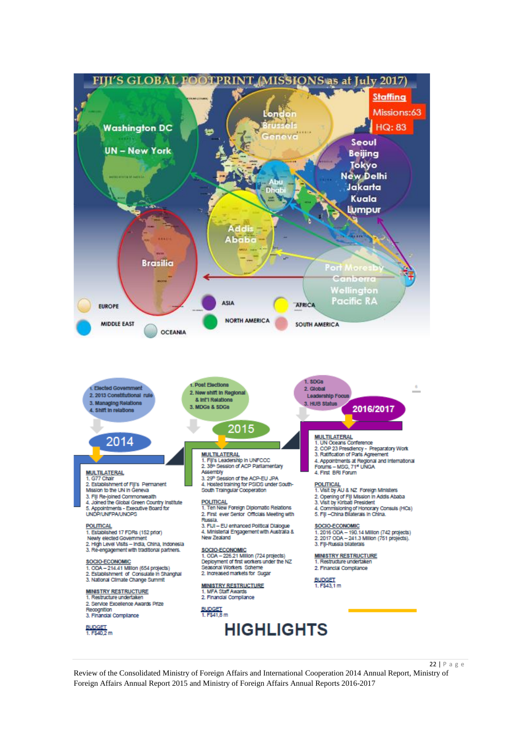

Review of the Consolidated Ministry of Foreign Affairs and International Cooperation 2014 Annual Report, Ministry of Foreign Affairs Annual Report 2015 and Ministry of Foreign Affairs Annual Reports 2016-2017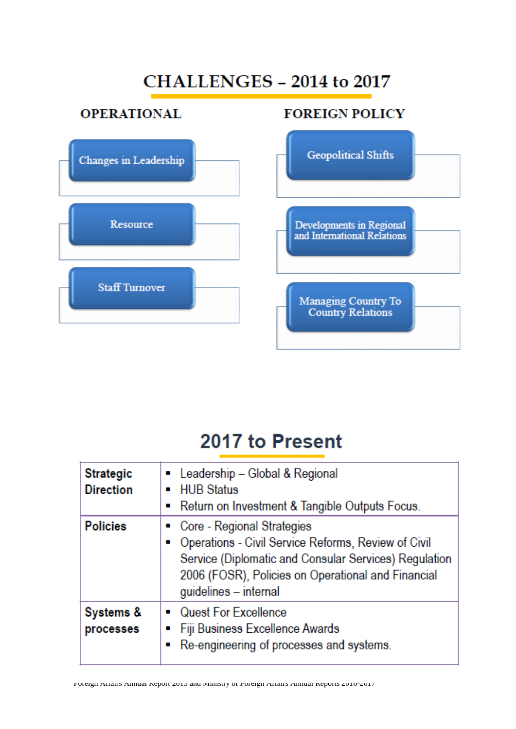# CHALLENGES - 2014 to 2017

## **OPERATIONAL**





# 2017 to Present

| <b>Strategic</b><br><b>Direction</b> | • Leadership – Global & Regional<br>• HUB Status<br>• Return on Investment & Tangible Outputs Focus.                                                                                                                        |  |
|--------------------------------------|-----------------------------------------------------------------------------------------------------------------------------------------------------------------------------------------------------------------------------|--|
| <b>Policies</b>                      | Core - Regional Strategies<br>• Operations - Civil Service Reforms, Review of Civil<br>Service (Diplomatic and Consular Services) Regulation<br>2006 (FOSR), Policies on Operational and Financial<br>guidelines - internal |  |
| Systems &<br>processes               | • Quest For Excellence<br>■ Fiji Business Excellence Awards<br>Re-engineering of processes and systems.                                                                                                                     |  |

Foreign Affairs Annual Report 2015 and Ministry of Foreign Affairs Annual Reports 2016-2017